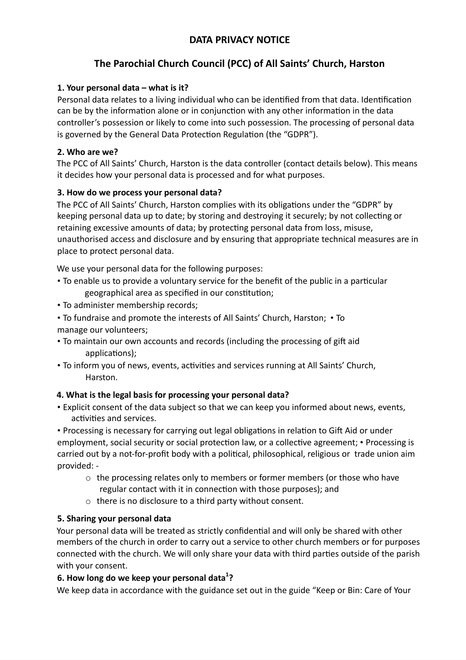## **DATA PRIVACY NOTICE**

# **The Parochial Church Council (PCC) of All Saints' Church, Harston**

### **1. Your personal data – what is it?**

Personal data relates to a living individual who can be identified from that data. Identification can be by the information alone or in conjunction with any other information in the data controller's possession or likely to come into such possession. The processing of personal data is governed by the General Data Protection Regulation (the "GDPR").

#### **2. Who are we?**

The PCC of All Saints' Church, Harston is the data controller (contact details below). This means it decides how your personal data is processed and for what purposes.

#### **3. How do we process your personal data?**

The PCC of All Saints' Church, Harston complies with its obligations under the "GDPR" by keeping personal data up to date; by storing and destroying it securely; by not collecting or retaining excessive amounts of data; by protecting personal data from loss, misuse, unauthorised access and disclosure and by ensuring that appropriate technical measures are in place to protect personal data.

We use your personal data for the following purposes:

- To enable us to provide a voluntary service for the benefit of the public in a particular geographical area as specified in our constitution;
- To administer membership records;
- To fundraise and promote the interests of All Saints' Church, Harston; To manage our volunteers;
- To maintain our own accounts and records (including the processing of gift aid applications);
- To inform you of news, events, activities and services running at All Saints' Church, Harston.

#### **4. What is the legal basis for processing your personal data?**

• Explicit consent of the data subject so that we can keep you informed about news, events, activities and services.

• Processing is necessary for carrying out legal obligations in relation to Gift Aid or under employment, social security or social protection law, or a collective agreement; • Processing is carried out by a not-for-profit body with a political, philosophical, religious or trade union aim provided: -

- $\circ$  the processing relates only to members or former members (or those who have regular contact with it in connection with those purposes); and
- o there is no disclosure to a third party without consent.

#### **5. Sharing your personal data**

Your personal data will be treated as strictly confidential and will only be shared with other members of the church in order to carry out a service to other church members or for purposes connected with the church. We will only share your data with third parties outside of the parish with your consent.

#### **6. How long do we keep your personal data 1?**

We keep data in accordance with the guidance set out in the guide "Keep or Bin: Care of Your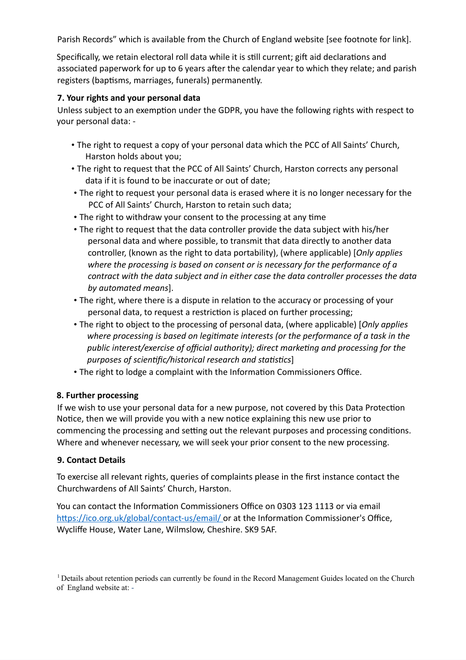Parish Records" which is available from the Church of England website [see footnote for link].

Specifically, we retain electoral roll data while it is still current; gift aid declarations and associated paperwork for up to 6 years after the calendar year to which they relate; and parish registers (baptisms, marriages, funerals) permanently.

#### **7. Your rights and your personal data**

Unless subject to an exemption under the GDPR, you have the following rights with respect to your personal data: -

- The right to request a copy of your personal data which the PCC of All Saints' Church, Harston holds about you;
- The right to request that the PCC of All Saints' Church, Harston corrects any personal data if it is found to be inaccurate or out of date;
- The right to request your personal data is erased where it is no longer necessary for the PCC of All Saints' Church, Harston to retain such data;
- The right to withdraw your consent to the processing at any time
- The right to request that the data controller provide the data subject with his/her personal data and where possible, to transmit that data directly to another data controller, (known as the right to data portability), (where applicable) [*Only applies where the processing is based on consent or is necessary for the performance of a contract with the data subject and in either case the data controller processes the data by automated means*].
- The right, where there is a dispute in relation to the accuracy or processing of your personal data, to request a restriction is placed on further processing;
- The right to object to the processing of personal data, (where applicable) [*Only applies where processing is based on legitimate interests (or the performance of a task in the public interest/exercise of official authority); direct marketing and processing for the purposes of scientific/historical research and statistics*]
- The right to lodge a complaint with the Information Commissioners Office.

#### **8. Further processing**

If we wish to use your personal data for a new purpose, not covered by this Data Protection Notice, then we will provide you with a new notice explaining this new use prior to commencing the processing and setting out the relevant purposes and processing conditions. Where and whenever necessary, we will seek your prior consent to the new processing.

#### **9. Contact Details**

To exercise all relevant rights, queries of complaints please in the first instance contact the Churchwardens of All Saints' Church, Harston.

You can contact the Information Commissioners Office on 0303 123 1113 or via email https://ico.org.uk/global/contact-us/email/ or at the Information Commissioner's Office, Wycliffe House, Water Lane, Wilmslow, Cheshire. SK9 5AF.

<sup>&</sup>lt;sup>1</sup> Details about retention periods can currently be found in the Record Management Guides located on the Church of England website at: -